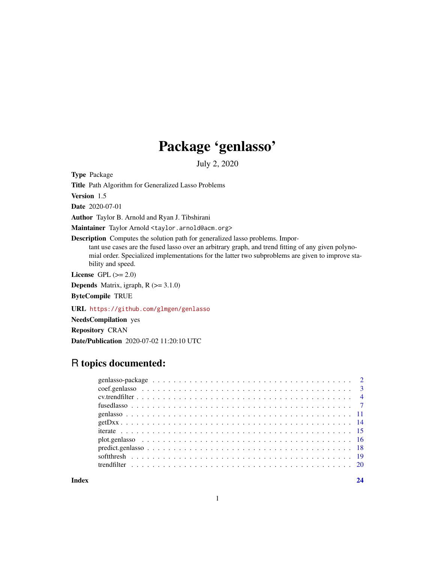## Package 'genlasso'

July 2, 2020

Type Package

Title Path Algorithm for Generalized Lasso Problems

Version 1.5

Date 2020-07-01

Author Taylor B. Arnold and Ryan J. Tibshirani

Maintainer Taylor Arnold <taylor.arnold@acm.org>

Description Computes the solution path for generalized lasso problems. Impor-

tant use cases are the fused lasso over an arbitrary graph, and trend fitting of any given polynomial order. Specialized implementations for the latter two subproblems are given to improve stability and speed.

License GPL  $(>= 2.0)$ 

**Depends** Matrix, igraph,  $R$  ( $>= 3.1.0$ )

ByteCompile TRUE

URL <https://github.com/glmgen/genlasso>

NeedsCompilation yes

Repository CRAN Date/Publication 2020-07-02 11:20:10 UTC

## R topics documented:

**Index** [24](#page-23-0)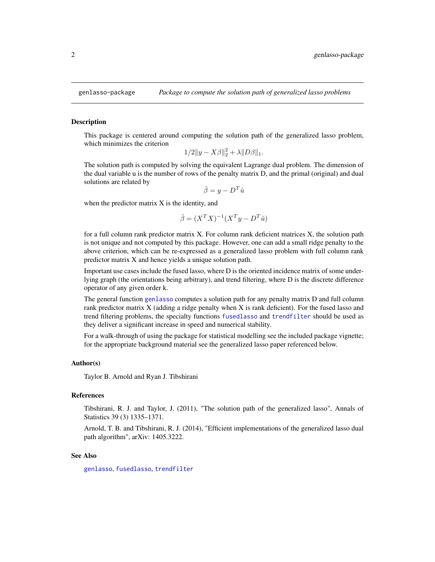<span id="page-1-0"></span>

#### Description

This package is centered around computing the solution path of the generalized lasso problem, which minimizes the criterion

$$
1/2\|y - X\beta\|_2^2 + \lambda \|D\beta\|_1.
$$

The solution path is computed by solving the equivalent Lagrange dual problem. The dimension of the dual variable u is the number of rows of the penalty matrix D, and the primal (original) and dual solutions are related by

 $\hat{\beta} = y - D^T \hat{u}$ 

when the predictor matrix X is the identity, and

$$
\hat{\beta} = (X^T X)^{-1} (X^T y - D^T \hat{u})
$$

for a full column rank predictor matrix X. For column rank deficient matrices X, the solution path is not unique and not computed by this package. However, one can add a small ridge penalty to the above criterion, which can be re-expressed as a generalized lasso problem with full column rank predictor matrix X and hence yields a unique solution path.

Important use cases include the fused lasso, where D is the oriented incidence matrix of some underlying graph (the orientations being arbitrary), and trend filtering, where D is the discrete difference operator of any given order k.

The general function [genlasso](#page-10-1) computes a solution path for any penalty matrix D and full column rank predictor matrix X (adding a ridge penalty when X is rank deficient). For the fused lasso and trend filtering problems, the specialty functions [fusedlasso](#page-6-1) and [trendfilter](#page-19-1) should be used as they deliver a significant increase in speed and numerical stability.

For a walk-through of using the package for statistical modelling see the included package vignette; for the appropriate background material see the generalized lasso paper referenced below.

## Author(s)

Taylor B. Arnold and Ryan J. Tibshirani

#### References

Tibshirani, R. J. and Taylor, J. (2011), "The solution path of the generalized lasso", Annals of Statistics 39 (3) 1335–1371.

Arnold, T. B. and Tibshirani, R. J. (2014), "Efficient implementations of the generalized lasso dual path algorithm", arXiv: 1405.3222.

## See Also

[genlasso](#page-10-1), [fusedlasso](#page-6-1), [trendfilter](#page-19-1)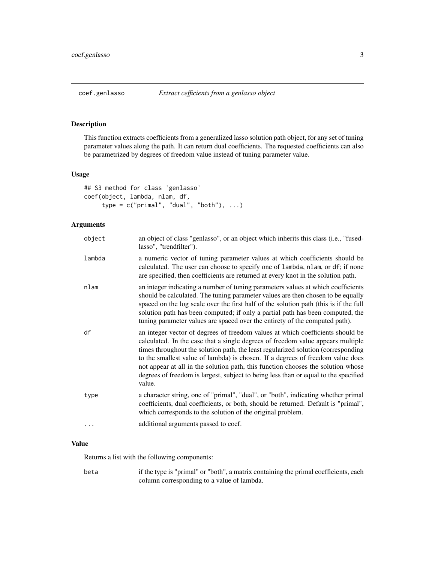<span id="page-2-1"></span><span id="page-2-0"></span>

## Description

This function extracts coefficients from a generalized lasso solution path object, for any set of tuning parameter values along the path. It can return dual coefficients. The requested coefficients can also be parametrized by degrees of freedom value instead of tuning parameter value.

#### Usage

```
## S3 method for class 'genlasso'
coef(object, lambda, nlam, df,
    type = c("primal", "dual", "both"), ...
```
## Arguments

| object | an object of class "genlasso", or an object which inherits this class (i.e., "fused-<br>lasso", "trendfilter").                                                                                                                                                                                                                                                                                                                                                                                                               |
|--------|-------------------------------------------------------------------------------------------------------------------------------------------------------------------------------------------------------------------------------------------------------------------------------------------------------------------------------------------------------------------------------------------------------------------------------------------------------------------------------------------------------------------------------|
| lambda | a numeric vector of tuning parameter values at which coefficients should be<br>calculated. The user can choose to specify one of lambda, nlam, or df; if none<br>are specified, then coefficients are returned at every knot in the solution path.                                                                                                                                                                                                                                                                            |
| nlam   | an integer indicating a number of tuning parameters values at which coefficients<br>should be calculated. The tuning parameter values are then chosen to be equally<br>spaced on the log scale over the first half of the solution path (this is if the full<br>solution path has been computed; if only a partial path has been computed, the<br>tuning parameter values are spaced over the entirety of the computed path).                                                                                                 |
| df     | an integer vector of degrees of freedom values at which coefficients should be<br>calculated. In the case that a single degrees of freedom value appears multiple<br>times throughout the solution path, the least regularized solution (corresponding<br>to the smallest value of lambda) is chosen. If a degrees of freedom value does<br>not appear at all in the solution path, this function chooses the solution whose<br>degrees of freedom is largest, subject to being less than or equal to the specified<br>value. |
| type   | a character string, one of "primal", "dual", or "both", indicating whether primal<br>coefficients, dual coefficients, or both, should be returned. Default is "primal",<br>which corresponds to the solution of the original problem.                                                                                                                                                                                                                                                                                         |
|        | additional arguments passed to coef.                                                                                                                                                                                                                                                                                                                                                                                                                                                                                          |
|        |                                                                                                                                                                                                                                                                                                                                                                                                                                                                                                                               |

## Value

Returns a list with the following components:

beta if the type is "primal" or "both", a matrix containing the primal coefficients, each column corresponding to a value of lambda.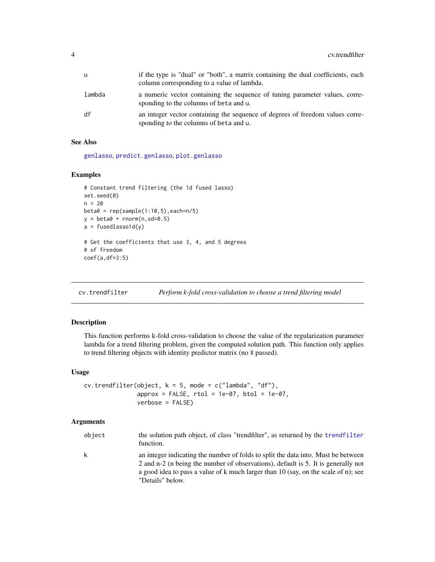<span id="page-3-0"></span>

|        | if the type is "dual" or "both", a matrix containing the dual coefficients, each<br>column corresponding to a value of lambda. |
|--------|--------------------------------------------------------------------------------------------------------------------------------|
| lambda | a numeric vector containing the sequence of tuning parameter values, corre-<br>sponding to the columns of beta and u.          |
| df     | an integer vector containing the sequence of degrees of freedom values corre-<br>sponding to the columns of beta and u.        |

## See Also

[genlasso](#page-10-1), [predict.genlasso](#page-17-1), [plot.genlasso](#page-15-1)

## Examples

```
# Constant trend filtering (the 1d fused lasso)
set.seed(0)
n = 20beta = rep(sample(1:10,5), each=n/5)y = \text{beta} + \text{rnorm}(n, \text{sd}=0.5)a = fusedlassold(y)# Get the coefficients that use 3, 4, and 5 degrees
# of freedom
coef(a,df=3:5)
```
<span id="page-3-1"></span>cv.trendfilter *Perform k-fold cross-validation to choose a trend filtering model*

#### Description

This function performs k-fold cross-validation to choose the value of the regularization parameter lambda for a trend filtering problem, given the computed solution path. This function only applies to trend filtering objects with identity predictor matrix (no X passed).

#### Usage

```
cv.trendfilter(object, k = 5, mode = c("lambda", "df"),
               approx = FALSE, rtol = 1e-07, btol = 1e-07,verbose = FALSE)
```

| object | the solution path object, of class "trendfilter", as returned by the trendfilter<br>function.                                                                                                                                                                                    |
|--------|----------------------------------------------------------------------------------------------------------------------------------------------------------------------------------------------------------------------------------------------------------------------------------|
| k      | an integer indicating the number of folds to split the data into. Must be between<br>2 and n-2 (n being the number of observations), default is 5. It is generally not<br>a good idea to pass a value of k much larger than 10 (say, on the scale of n); see<br>"Details" below. |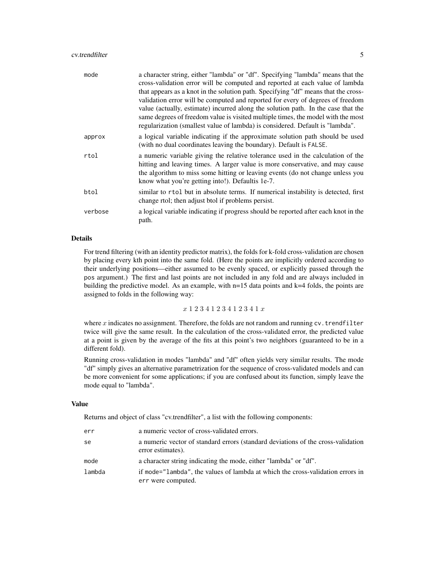#### cv.trendfilter 5

| mode    | a character string, either "lambda" or "df". Specifying "lambda" means that the<br>cross-validation error will be computed and reported at each value of lambda<br>that appears as a knot in the solution path. Specifying "df" means that the cross-<br>validation error will be computed and reported for every of degrees of freedom<br>value (actually, estimate) incurred along the solution path. In the case that the<br>same degrees of freedom value is visited multiple times, the model with the most<br>regularization (smallest value of lambda) is considered. Default is "lambda". |
|---------|---------------------------------------------------------------------------------------------------------------------------------------------------------------------------------------------------------------------------------------------------------------------------------------------------------------------------------------------------------------------------------------------------------------------------------------------------------------------------------------------------------------------------------------------------------------------------------------------------|
| approx  | a logical variable indicating if the approximate solution path should be used<br>(with no dual coordinates leaving the boundary). Default is FALSE.                                                                                                                                                                                                                                                                                                                                                                                                                                               |
| rtol    | a numeric variable giving the relative tolerance used in the calculation of the<br>hitting and leaving times. A larger value is more conservative, and may cause<br>the algorithm to miss some hitting or leaving events (do not change unless you<br>know what you're getting into!). Defaultis 1e-7.                                                                                                                                                                                                                                                                                            |
| btol    | similar to rtol but in absolute terms. If numerical instability is detected, first<br>change rtol; then adjust btol if problems persist.                                                                                                                                                                                                                                                                                                                                                                                                                                                          |
| verbose | a logical variable indicating if progress should be reported after each knot in the<br>path.                                                                                                                                                                                                                                                                                                                                                                                                                                                                                                      |

## Details

For trend filtering (with an identity predictor matrix), the folds for k-fold cross-validation are chosen by placing every kth point into the same fold. (Here the points are implicitly ordered according to their underlying positions—either assumed to be evenly spaced, or explicitly passed through the pos argument.) The first and last points are not included in any fold and are always included in building the predictive model. As an example, with n=15 data points and k=4 folds, the points are assigned to folds in the following way:

#### x 1 2 3 4 1 2 3 4 1 2 3 4 1 x

where  $x$  indicates no assignment. Therefore, the folds are not random and running  $cv$ . trendfilter twice will give the same result. In the calculation of the cross-validated error, the predicted value at a point is given by the average of the fits at this point's two neighbors (guaranteed to be in a different fold).

Running cross-validation in modes "lambda" and "df" often yields very similar results. The mode "df" simply gives an alternative parametrization for the sequence of cross-validated models and can be more convenient for some applications; if you are confused about its function, simply leave the mode equal to "lambda".

#### Value

Returns and object of class "cv.trendfilter", a list with the following components:

| err    | a numeric vector of cross-validated errors.                                                           |
|--------|-------------------------------------------------------------------------------------------------------|
| se     | a numeric vector of standard errors (standard deviations of the cross-validation<br>error estimates). |
| mode   | a character string indicating the mode, either "lambda" or "df".                                      |
| lambda | if mode="lambda", the values of lambda at which the cross-validation errors in<br>err were computed.  |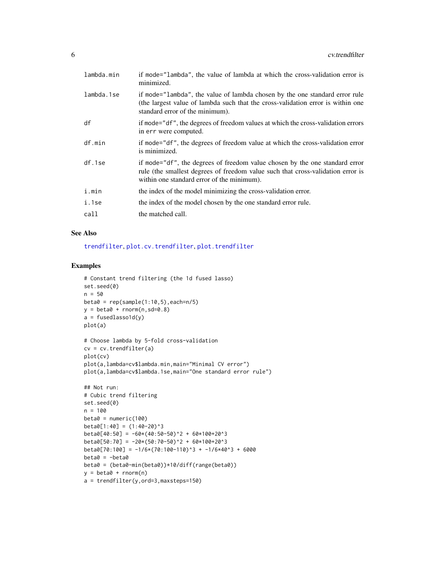<span id="page-5-0"></span>

| lambda.min | if mode="lambda", the value of lambda at which the cross-validation error is<br>minimized.                                                                                                                   |
|------------|--------------------------------------------------------------------------------------------------------------------------------------------------------------------------------------------------------------|
| lambda.1se | if mode="lambda", the value of lambda chosen by the one standard error rule<br>(the largest value of lambda such that the cross-validation error is within one<br>standard error of the minimum).            |
| df         | if mode="df", the degrees of freedom values at which the cross-validation errors<br>in err were computed.                                                                                                    |
| df.min     | if mode="df", the degrees of freedom value at which the cross-validation error<br>is minimized.                                                                                                              |
| df.1se     | if mode="df", the degrees of freedom value chosen by the one standard error<br>rule (the smallest degrees of freedom value such that cross-validation error is<br>within one standard error of the minimum). |
| i.min      | the index of the model minimizing the cross-validation error.                                                                                                                                                |
| i.1se      | the index of the model chosen by the one standard error rule.                                                                                                                                                |
| call       | the matched call.                                                                                                                                                                                            |
|            |                                                                                                                                                                                                              |

## See Also

[trendfilter](#page-19-1), [plot.cv.trendfilter](#page-15-2), [plot.trendfilter](#page-15-2)

## Examples

```
# Constant trend filtering (the 1d fused lasso)
set.seed(0)
n = 50beta = rep(sample(1:10,5), each=n/5)y = beta0 + rnorm(n, sd=0.8)a = fusedlassold(y)plot(a)
# Choose lambda by 5-fold cross-validation
cv = cv.trendfilter(a)plot(cv)
plot(a,lambda=cv$lambda.min,main="Minimal CV error")
plot(a,lambda=cv$lambda.1se,main="One standard error rule")
## Not run:
# Cubic trend filtering
set.seed(0)
n = 100
beta = numeric(100)beta[1:40] = (1:40-20)^3beta[40:50] = -60*(40:50-50)^2 + 60*100+20^3beta[50:70] = -20*(50:70-50)^2 + 60*100+20^3beta[70:100] = -1/6*(70:100-110)^3 + -1/6*40^3 + 6000beta0 = -beta0
beta0 = (beta0-min(beta0))*10/diff(range(beta0))
y = beta0 + rnorm(n)a = trendfilter(y,ord=3,maxsteps=150)
```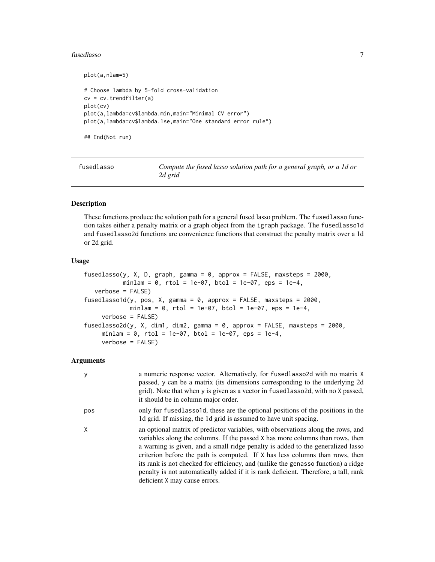#### <span id="page-6-0"></span>fusedlasso 7

```
plot(a,nlam=5)
# Choose lambda by 5-fold cross-validation
cv = cv.trendfilter(a)
plot(cv)
plot(a,lambda=cv$lambda.min,main="Minimal CV error")
plot(a,lambda=cv$lambda.1se,main="One standard error rule")
```
## End(Not run)

<span id="page-6-1"></span>

| fusedlasso | Compute the fused lasso solution path for a general graph, or a 1d or |
|------------|-----------------------------------------------------------------------|
|            | 2d grid                                                               |

## <span id="page-6-2"></span>Description

These functions produce the solution path for a general fused lasso problem. The fusedlasso function takes either a penalty matrix or a graph object from the igraph package. The fusedlasso1d and fusedlasso2d functions are convenience functions that construct the penalty matrix over a 1d or 2d grid.

## Usage

```
fusedlasso(y, X, D, graph, gamma = 0, approx = FALSE, maxsteps = 2000,
          minlam = 0, rtol = 1e-07, btol = 1e-07, eps = 1e-4,
   verbose = FALSE)
fusedlasso1d(y, pos, X, gamma = 0, approx = FALSE, maxsteps = 2000,
            minlam = 0, rtol = 1e-07, btol = 1e-07, eps = 1e-4,
     verbose = FALSE)
fusedlasso2d(y, X, dim1, dim2, gamma = 0, approx = FALSE, maxsteps = 2000,
     minlam = 0, rtol = 1e-07, btol = 1e-07, eps = 1e-4,
     verbose = FALSE)
```

| У   | a numeric response vector. Alternatively, for fusedlassolo with no matrix X<br>passed, y can be a matrix (its dimensions corresponding to the underlying 2d<br>grid). Note that when y is given as a vector in fusedlasso2d, with no X passed,<br>it should be in column major order.                                                                                                                                                                                                                                                             |
|-----|---------------------------------------------------------------------------------------------------------------------------------------------------------------------------------------------------------------------------------------------------------------------------------------------------------------------------------------------------------------------------------------------------------------------------------------------------------------------------------------------------------------------------------------------------|
| pos | only for fusedlassold, these are the optional positions of the positions in the<br>1d grid. If missing, the 1d grid is assumed to have unit spacing.                                                                                                                                                                                                                                                                                                                                                                                              |
| X   | an optional matrix of predictor variables, with observations along the rows, and<br>variables along the columns. If the passed X has more columns than rows, then<br>a warning is given, and a small ridge penalty is added to the generalized lasso<br>criterion before the path is computed. If X has less columns than rows, then<br>its rank is not checked for efficiency, and (unlike the genasso function) a ridge<br>penalty is not automatically added if it is rank deficient. Therefore, a tall, rank<br>deficient X may cause errors. |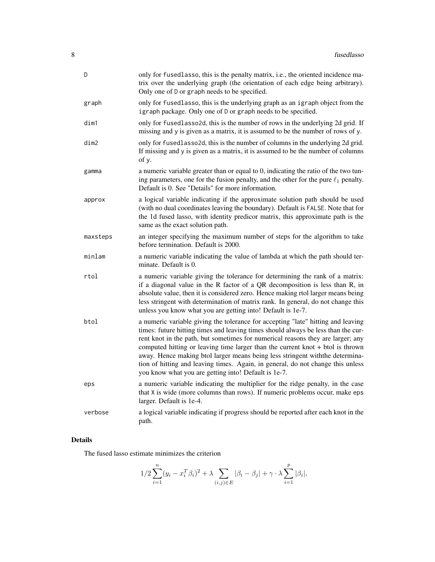| D        | only for fusedlasso, this is the penalty matrix, i.e., the oriented incidence ma-<br>trix over the underlying graph (the orientation of each edge being arbitrary).<br>Only one of D or graph needs to be specified.                                                                                                                                                                                                                                                                                                                                                  |
|----------|-----------------------------------------------------------------------------------------------------------------------------------------------------------------------------------------------------------------------------------------------------------------------------------------------------------------------------------------------------------------------------------------------------------------------------------------------------------------------------------------------------------------------------------------------------------------------|
| graph    | only for fusedlasso, this is the underlying graph as an igraph object from the<br>igraph package. Only one of D or graph needs to be specified.                                                                                                                                                                                                                                                                                                                                                                                                                       |
| dim1     | only for fusedlasso2d, this is the number of rows in the underlying 2d grid. If<br>missing and y is given as a matrix, it is assumed to be the number of rows of y.                                                                                                                                                                                                                                                                                                                                                                                                   |
| dim2     | only for fusedlasso2d, this is the number of columns in the underlying 2d grid.<br>If missing and y is given as a matrix, it is assumed to be the number of columns<br>of y.                                                                                                                                                                                                                                                                                                                                                                                          |
| gamma    | a numeric variable greater than or equal to 0, indicating the ratio of the two tun-<br>ing parameters, one for the fusion penalty, and the other for the pure $\ell_1$ penalty.<br>Default is 0. See "Details" for more information.                                                                                                                                                                                                                                                                                                                                  |
| approx   | a logical variable indicating if the approximate solution path should be used<br>(with no dual coordinates leaving the boundary). Default is FALSE. Note that for<br>the 1d fused lasso, with identity predicor matrix, this approximate path is the<br>same as the exact solution path.                                                                                                                                                                                                                                                                              |
| maxsteps | an integer specifying the maximum number of steps for the algorithm to take<br>before termination. Default is 2000.                                                                                                                                                                                                                                                                                                                                                                                                                                                   |
| minlam   | a numeric variable indicating the value of lambda at which the path should ter-<br>minate. Default is 0.                                                                                                                                                                                                                                                                                                                                                                                                                                                              |
| rtol     | a numeric variable giving the tolerance for determining the rank of a matrix:<br>if a diagonal value in the R factor of a QR decomposition is less than R, in<br>absolute value, then it is considered zero. Hence making rtol larger means being<br>less stringent with determination of matrix rank. In general, do not change this<br>unless you know what you are getting into! Default is 1e-7.                                                                                                                                                                  |
| btol     | a numeric variable giving the tolerance for accepting "late" hitting and leaving<br>times: future hitting times and leaving times should always be less than the cur-<br>rent knot in the path, but sometimes for numerical reasons they are larger; any<br>computed hitting or leaving time larger than the current knot + btol is thrown<br>away. Hence making btol larger means being less stringent withthe determina-<br>tion of hitting and leaving times. Again, in general, do not change this unless<br>you know what you are getting into! Default is 1e-7. |
| eps      | a numeric variable indicating the multiplier for the ridge penalty, in the case<br>that X is wide (more columns than rows). If numeric problems occur, make eps<br>larger. Default is 1e-4.                                                                                                                                                                                                                                                                                                                                                                           |
| verbose  | a logical variable indicating if progress should be reported after each knot in the<br>path.                                                                                                                                                                                                                                                                                                                                                                                                                                                                          |

## Details

The fused lasso estimate minimizes the criterion

$$
1/2 \sum_{i=1}^{n} (y_i - x_i^T \beta_i)^2 + \lambda \sum_{(i,j) \in E} |\beta_i - \beta_j| + \gamma \cdot \lambda \sum_{i=1}^{p} |\beta_i|,
$$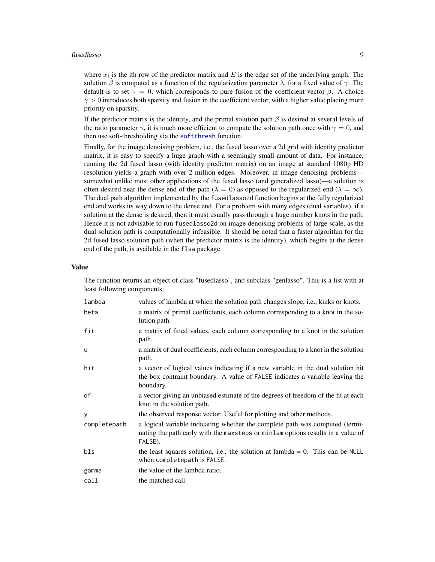#### <span id="page-8-0"></span>fusedlasso 9

where  $x_i$  is the ith row of the predictor matrix and E is the edge set of the underlying graph. The solution  $\hat{\beta}$  is computed as a function of the regularization parameter  $\lambda$ , for a fixed value of  $\gamma$ . The default is to set  $\gamma = 0$ , which corresponds to pure fusion of the coefficient vector  $\beta$ . A choice  $\gamma > 0$  introduces both sparsity and fusion in the coefficient vector, with a higher value placing more priority on sparsity.

If the predictor matrix is the identity, and the primal solution path  $\beta$  is desired at several levels of the ratio parameter  $\gamma$ , it is much more efficient to compute the solution path once with  $\gamma = 0$ , and then use soft-thresholding via the [softthresh](#page-18-1) function.

Finally, for the image denoising problem, i.e., the fused lasso over a 2d grid with identity predictor matrix, it is easy to specify a huge graph with a seemingly small amount of data. For instance, running the 2d fused lasso (with identity predictor matrix) on an image at standard 1080p HD resolution yields a graph with over 2 million edges. Moreover, in image denoising problems somewhat unlike most other applications of the fused lasso (and generalized lasso)—a solution is often desired near the dense end of the path ( $\lambda = 0$ ) as opposed to the regularized end ( $\lambda = \infty$ ). The dual path algorithm implemented by the fusedlasso2d function begins at the fully regularized end and works its way down to the dense end. For a problem with many edges (dual variables), if a solution at the dense is desired, then it must usually pass through a huge number knots in the path. Hence it is not advisable to run fusedlasso2d on image denoising problems of large scale, as the dual solution path is computationally infeasible. It should be noted that a faster algorithm for the 2d fused lasso solution path (when the predictor matrix is the identity), which begins at the dense end of the path, is available in the flsa package.

#### Value

The function returns an object of class "fusedlasso", and subclass "genlasso". This is a list with at least following components:

| lambda       | values of lambda at which the solution path changes slope, i.e., kinks or knots.                                                                                               |
|--------------|--------------------------------------------------------------------------------------------------------------------------------------------------------------------------------|
| beta         | a matrix of primal coefficients, each column corresponding to a knot in the so-<br>lution path.                                                                                |
| fit          | a matrix of fitted values, each column corresponding to a knot in the solution<br>path.                                                                                        |
| u            | a matrix of dual coefficients, each column corresponding to a knot in the solution<br>path.                                                                                    |
| hit          | a vector of logical values indicating if a new variable in the dual solution hit<br>the box contraint boundary. A value of FALSE indicates a variable leaving the<br>boundary. |
| df           | a vector giving an unbiased estimate of the degrees of freedom of the fit at each<br>knot in the solution path.                                                                |
| y            | the observed response vector. Useful for plotting and other methods.                                                                                                           |
| completepath | a logical variable indicating whether the complete path was computed (termi-<br>nating the path early with the maxsteps or minlam options results in a value of<br>FALSE).     |
| bls          | the least squares solution, i.e., the solution at lambda $= 0$ . This can be NULL<br>when completepath is FALSE.                                                               |
| gamma        | the value of the lambda ratio.                                                                                                                                                 |
| call         | the matched call.                                                                                                                                                              |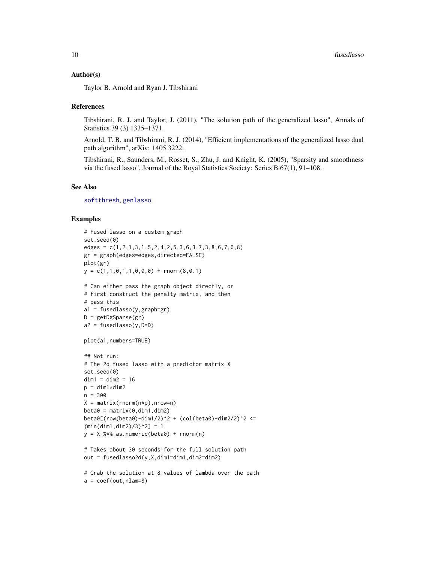#### <span id="page-9-0"></span>Author(s)

Taylor B. Arnold and Ryan J. Tibshirani

#### References

Tibshirani, R. J. and Taylor, J. (2011), "The solution path of the generalized lasso", Annals of Statistics 39 (3) 1335–1371.

Arnold, T. B. and Tibshirani, R. J. (2014), "Efficient implementations of the generalized lasso dual path algorithm", arXiv: 1405.3222.

Tibshirani, R., Saunders, M., Rosset, S., Zhu, J. and Knight, K. (2005), "Sparsity and smoothness via the fused lasso", Journal of the Royal Statistics Society: Series B 67(1), 91–108.

## See Also

[softthresh](#page-18-1), [genlasso](#page-10-1)

#### Examples

```
# Fused lasso on a custom graph
set.seed(0)
edges = c(1,2,1,3,1,5,2,4,2,5,3,6,3,7,3,8,6,7,6,8)
gr = graph(edges=edges,directed=FALSE)
plot(gr)
y = c(1,1,0,1,1,0,0,0) + rnorm(8,0.1)# Can either pass the graph object directly, or
# first construct the penalty matrix, and then
# pass this
a1 = fusedlasso(y,graph=gr)
D = getDgSparse(gr)
a2 = fusedlasso(y, D=D)plot(a1,numbers=TRUE)
## Not run:
# The 2d fused lasso with a predictor matrix X
set.seed(0)
dim1 = dim2 = 16p = dim1*dim2n = 300
X = matrix(rnorm(n*p), nrow=n)beta = matrix(0, dim1, dim2)beta([row(beta0)-dim1/2)^2 + (col(beta0)-dim2/2)^2 <=
(min(dim1,dim2)/3)^2] = 1y = X % as.numeric(beta0) + rnorm(n)
# Takes about 30 seconds for the full solution path
out = fusedlasso2d(y,X,dim1=dim1,dim2=dim2)
```

```
# Grab the solution at 8 values of lambda over the path
a = coef(out, nlam=8)
```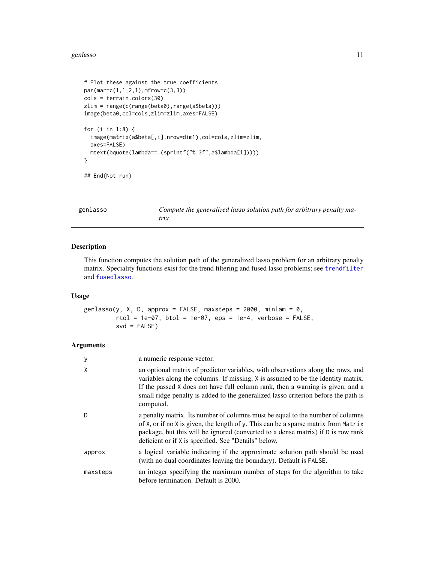#### <span id="page-10-0"></span>genlasso and the set of the set of the set of the set of the set of the set of the set of the set of the set of the set of the set of the set of the set of the set of the set of the set of the set of the set of the set of

```
# Plot these against the true coefficients
par(mar=c(1,1,2,1),mfrow=c(3,3))
cols = terrain.colors(30)
zlim = range(c(range(beta0),range(a$beta)))
image(beta0,col=cols,zlim=zlim,axes=FALSE)
for (i in 1:8) {
  image(matrix(a$beta[,i],nrow=dim1),col=cols,zlim=zlim,
  axes=FALSE)
  mtext(bquote(lambda==.(sprintf("%.3f",a$lambda[i]))))
}
```

```
## End(Not run)
```
<span id="page-10-1"></span>

| genlasso | Compute the generalized lasso solution path for arbitrary penalty ma- |
|----------|-----------------------------------------------------------------------|
|          | trix                                                                  |

## Description

This function computes the solution path of the generalized lasso problem for an arbitrary penalty matrix. Speciality functions exist for the trend filtering and fused lasso problems; see [trendfilter](#page-19-1) and [fusedlasso](#page-6-1).

## Usage

```
genlasso(y, X, D, approx = FALSE, maxsteps = 2000, minlam = 0,rtol = 1e-07, btol = 1e-07, eps = 1e-4, verbose = FALSE,
        svd = FALSE)
```

| y        | a numeric response vector.                                                                                                                                                                                                                                                                                                                                |
|----------|-----------------------------------------------------------------------------------------------------------------------------------------------------------------------------------------------------------------------------------------------------------------------------------------------------------------------------------------------------------|
| X        | an optional matrix of predictor variables, with observations along the rows, and<br>variables along the columns. If missing, X is assumed to be the identity matrix.<br>If the passed X does not have full column rank, then a warning is given, and a<br>small ridge penalty is added to the generalized lasso criterion before the path is<br>computed. |
| D        | a penalty matrix. Its number of columns must be equal to the number of columns<br>of X, or if no X is given, the length of y. This can be a sparse matrix from Matrix<br>package, but this will be ignored (converted to a dense matrix) if D is row rank<br>deficient or if X is specified. See "Details" below.                                         |
| approx   | a logical variable indicating if the approximate solution path should be used<br>(with no dual coordinates leaving the boundary). Default is FALSE.                                                                                                                                                                                                       |
| maxsteps | an integer specifying the maximum number of steps for the algorithm to take<br>before termination. Default is 2000.                                                                                                                                                                                                                                       |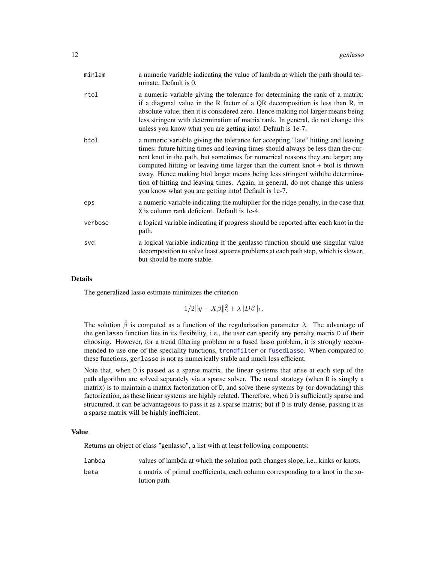| minlam  | a numeric variable indicating the value of lambda at which the path should ter-<br>minate. Default is 0.                                                                                                                                                                                                                                                                                                                                                                                                                                                                 |
|---------|--------------------------------------------------------------------------------------------------------------------------------------------------------------------------------------------------------------------------------------------------------------------------------------------------------------------------------------------------------------------------------------------------------------------------------------------------------------------------------------------------------------------------------------------------------------------------|
| rtol    | a numeric variable giving the tolerance for determining the rank of a matrix:<br>if a diagonal value in the R factor of a QR decomposition is less than R, in<br>absolute value, then it is considered zero. Hence making rtol larger means being<br>less stringent with determination of matrix rank. In general, do not change this<br>unless you know what you are getting into! Default is 1e-7.                                                                                                                                                                     |
| btol    | a numeric variable giving the tolerance for accepting "late" hitting and leaving<br>times: future hitting times and leaving times should always be less than the cur-<br>rent knot in the path, but sometimes for numerical reasons they are larger; any<br>computed hitting or leaving time larger than the current knot $+$ btol is thrown<br>away. Hence making btol larger means being less stringent with the determina-<br>tion of hitting and leaving times. Again, in general, do not change this unless<br>you know what you are getting into! Default is 1e-7. |
| eps     | a numeric variable indicating the multiplier for the ridge penalty, in the case that<br>X is column rank deficient. Default is 1e-4.                                                                                                                                                                                                                                                                                                                                                                                                                                     |
| verbose | a logical variable indicating if progress should be reported after each knot in the<br>path.                                                                                                                                                                                                                                                                                                                                                                                                                                                                             |
| svd     | a logical variable indicating if the genlasso function should use singular value<br>decomposition to solve least squares problems at each path step, which is slower,<br>but should be more stable.                                                                                                                                                                                                                                                                                                                                                                      |

#### Details

The generalized lasso estimate minimizes the criterion

$$
1/2||y - X\beta||_2^2 + \lambda ||D\beta||_1.
$$

The solution  $\hat{\beta}$  is computed as a function of the regularization parameter  $\lambda$ . The advantage of the genlasso function lies in its flexibility, i.e., the user can specify any penalty matrix D of their choosing. However, for a trend filtering problem or a fused lasso problem, it is strongly recommended to use one of the speciality functions, [trendfilter](#page-19-1) or [fusedlasso](#page-6-1). When compared to these functions, genlasso is not as numerically stable and much less efficient.

Note that, when D is passed as a sparse matrix, the linear systems that arise at each step of the path algorithm are solved separately via a sparse solver. The usual strategy (when D is simply a matrix) is to maintain a matrix factorization of D, and solve these systems by (or downdating) this factorization, as these linear systems are highly related. Therefore, when D is sufficiently sparse and structured, it can be advantageous to pass it as a sparse matrix; but if D is truly dense, passing it as a sparse matrix will be highly inefficient.

## Value

Returns an object of class "genlasso", a list with at least following components:

lambda values of lambda at which the solution path changes slope, i.e., kinks or knots. beta a matrix of primal coefficients, each column corresponding to a knot in the so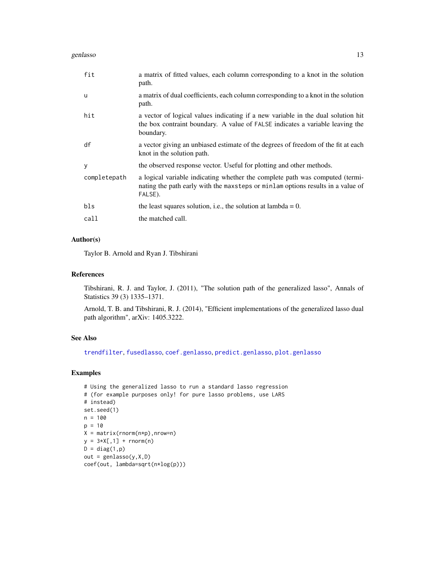<span id="page-12-0"></span>genlasso and the set of the set of the set of the set of the set of the set of the set of the set of the set of the set of the set of the set of the set of the set of the set of the set of the set of the set of the set of

| fit          | a matrix of fitted values, each column corresponding to a knot in the solution<br>path.                                                                                        |
|--------------|--------------------------------------------------------------------------------------------------------------------------------------------------------------------------------|
| u            | a matrix of dual coefficients, each column corresponding to a knot in the solution<br>path.                                                                                    |
| hit          | a vector of logical values indicating if a new variable in the dual solution hit<br>the box contraint boundary. A value of FALSE indicates a variable leaving the<br>boundary. |
| df           | a vector giving an unbiased estimate of the degrees of freedom of the fit at each<br>knot in the solution path.                                                                |
| y            | the observed response vector. Useful for plotting and other methods.                                                                                                           |
| completepath | a logical variable indicating whether the complete path was computed (termi-<br>nating the path early with the maxsteps or minlam options results in a value of<br>FALSE).     |
| bls          | the least squares solution, i.e., the solution at lambda = $0$ .                                                                                                               |
| call         | the matched call.                                                                                                                                                              |

## Author(s)

Taylor B. Arnold and Ryan J. Tibshirani

## References

Tibshirani, R. J. and Taylor, J. (2011), "The solution path of the generalized lasso", Annals of Statistics 39 (3) 1335–1371.

Arnold, T. B. and Tibshirani, R. J. (2014), "Efficient implementations of the generalized lasso dual path algorithm", arXiv: 1405.3222.

## See Also

[trendfilter](#page-19-1), [fusedlasso](#page-6-1), [coef.genlasso](#page-2-1), [predict.genlasso](#page-17-1), [plot.genlasso](#page-15-1)

## Examples

```
# Using the generalized lasso to run a standard lasso regression
# (for example purposes only! for pure lasso problems, use LARS
# instead)
set.seed(1)
n = 100
p = 10X = matrix(rnorm(n*p),nrow=n)
y = 3*X[, 1] + rnorm(n)D = diag(1,p)out = genlasso(y, X, D)coef(out, lambda=sqrt(n*log(p)))
```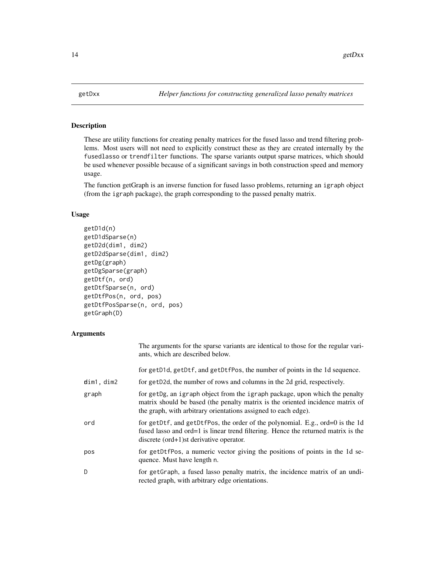<span id="page-13-0"></span>

## Description

These are utility functions for creating penalty matrices for the fused lasso and trend filtering problems. Most users will not need to explicitly construct these as they are created internally by the fusedlasso or trendfilter functions. The sparse variants output sparse matrices, which should be used whenever possible because of a significant savings in both construction speed and memory usage.

The function getGraph is an inverse function for fused lasso problems, returning an igraph object (from the igraph package), the graph corresponding to the passed penalty matrix.

## Usage

```
getD1d(n)
getD1dSparse(n)
getD2d(dim1, dim2)
getD2dSparse(dim1, dim2)
getDg(graph)
getDgSparse(graph)
getDtf(n, ord)
getDtfSparse(n, ord)
getDtfPos(n, ord, pos)
getDtfPosSparse(n, ord, pos)
getGraph(D)
```

|                    | The arguments for the sparse variants are identical to those for the regular vari-<br>ants, which are described below.                                                                                                          |
|--------------------|---------------------------------------------------------------------------------------------------------------------------------------------------------------------------------------------------------------------------------|
|                    | for getD1d, getDtf, and getDtfPos, the number of points in the 1d sequence.                                                                                                                                                     |
| <b>d</b> im1, dim2 | for getD2d, the number of rows and columns in the 2d grid, respectively.                                                                                                                                                        |
| graph              | for getDg, an igraph object from the igraph package, upon which the penalty<br>matrix should be based (the penalty matrix is the oriented incidence matrix of<br>the graph, with arbitrary orientations assigned to each edge). |
| ord                | for getDtf, and getDtfPos, the order of the polynomial. E.g., ord=0 is the 1d<br>fused lasso and ord=1 is linear trend filtering. Hence the returned matrix is the<br>discrete $(ord+1)$ st derivative operator.                |
| pos                | for getDtfPos, a numeric vector giving the positions of points in the 1d se-<br>quence. Must have length n.                                                                                                                     |
| D                  | for getGraph, a fused lasso penalty matrix, the incidence matrix of an undi-<br>rected graph, with arbitrary edge orientations.                                                                                                 |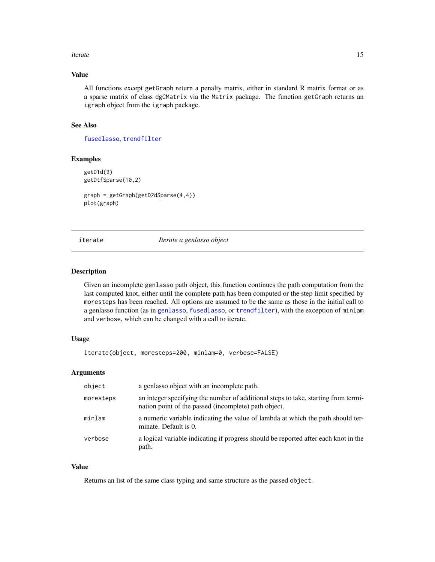#### <span id="page-14-0"></span>iterate the contract of the contract of the contract of the contract of the contract of the contract of the contract of the contract of the contract of the contract of the contract of the contract of the contract of the co

## Value

All functions except getGraph return a penalty matrix, either in standard R matrix format or as a sparse matrix of class dgCMatrix via the Matrix package. The function getGraph returns an igraph object from the igraph package.

## See Also

[fusedlasso](#page-6-1), [trendfilter](#page-19-1)

## Examples

getD1d(9) getDtfSparse(10,2)

graph = getGraph(getD2dSparse(4,4)) plot(graph)

iterate *Iterate a genlasso object*

#### Description

Given an incomplete genlasso path object, this function continues the path computation from the last computed knot, either until the complete path has been computed or the step limit specified by moresteps has been reached. All options are assumed to be the same as those in the initial call to a genlasso function (as in [genlasso](#page-10-1), [fusedlasso](#page-6-1), or [trendfilter](#page-19-1)), with the exception of minlam and verbose, which can be changed with a call to iterate.

## Usage

iterate(object, moresteps=200, minlam=0, verbose=FALSE)

## Arguments

| object    | a genlasso object with an incomplete path.                                                                                                 |
|-----------|--------------------------------------------------------------------------------------------------------------------------------------------|
| moresteps | an integer specifying the number of additional steps to take, starting from termi-<br>nation point of the passed (incomplete) path object. |
| minlam    | a numeric variable indicating the value of lambda at which the path should ter-<br>minate. Default is 0.                                   |
| verbose   | a logical variable indicating if progress should be reported after each knot in the<br>path.                                               |

#### Value

Returns an list of the same class typing and same structure as the passed object.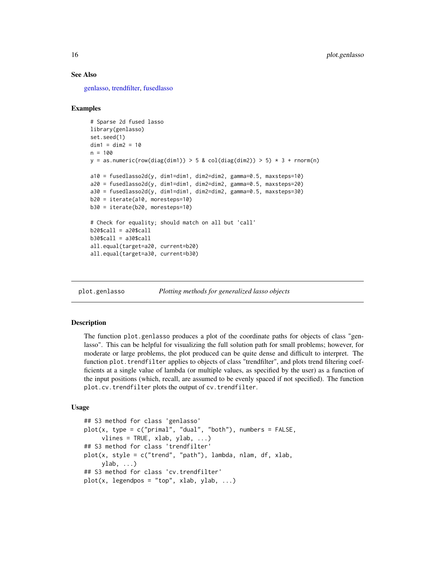## See Also

[genlasso,](#page-10-1) [trendfilter,](#page-19-1) [fusedlasso](#page-6-1)

## Examples

```
# Sparse 2d fused lasso
library(genlasso)
set.seed(1)
dim1 = dim2 = 10n = 100
y = as.numeric(row(diag(dim1)) > 5 & col(diag(dim2)) > 5) \star 3 + rnorm(n)
a10 = fusedlasso2d(y, dim1=dim1, dim2=dim2, gamma=0.5, maxsteps=10)
a20 = fusedlasso2d(y, dim1=dim1, dim2=dim2, gamma=0.5, maxsteps=20)
a30 = fusedlasso2d(y, dim1=dim1, dim2=dim2, gamma=0.5, maxsteps=30)
b20 = iterate(a10, moresteps=10)
b30 = iterate(b20, moresteps=10)
# Check for equality; should match on all but 'call'
b20$call = a20$call
b30$call = a30$call
all.equal(target=a20, current=b20)
all.equal(target=a30, current=b30)
```
<span id="page-15-1"></span>plot.genlasso *Plotting methods for generalized lasso objects*

## <span id="page-15-2"></span>Description

The function plot.genlasso produces a plot of the coordinate paths for objects of class "genlasso". This can be helpful for visualizing the full solution path for small problems; however, for moderate or large problems, the plot produced can be quite dense and difficult to interpret. The function plot.trendfilter applies to objects of class "trendfilter", and plots trend filtering coefficients at a single value of lambda (or multiple values, as specified by the user) as a function of the input positions (which, recall, are assumed to be evenly spaced if not specified). The function plot.cv.trendfilter plots the output of cv.trendfilter.

## Usage

```
## S3 method for class 'genlasso'
plot(x, type = c("primal", "dual", "both"), numbers = FALSE,vlines = TRUE, xlab, ylab, \ldots)
## S3 method for class 'trendfilter'
plot(x, style = c("trend", "path"), lambda, nlam, df, xlab,
     ylab, ...)
## S3 method for class 'cv.trendfilter'
plot(x, legendpos = "top", xlab, ylab, ...)
```
<span id="page-15-0"></span>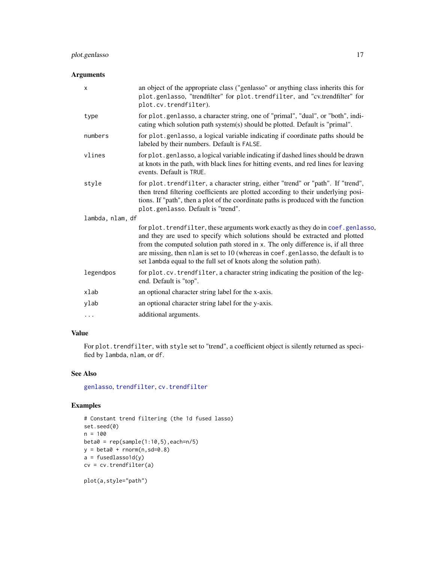## <span id="page-16-0"></span>plot.genlasso 17

## Arguments

| X                | an object of the appropriate class ("genlasso" or anything class inherits this for<br>plot.genlasso, "trendfilter" for plot.trendfilter, and "cv.trendfilter" for<br>plot.cv.trendfilter).                                                                                                                                                                                                                        |  |
|------------------|-------------------------------------------------------------------------------------------------------------------------------------------------------------------------------------------------------------------------------------------------------------------------------------------------------------------------------------------------------------------------------------------------------------------|--|
| type             | for plot.genlasso, a character string, one of "primal", "dual", or "both", indi-<br>cating which solution path system(s) should be plotted. Default is "primal".                                                                                                                                                                                                                                                  |  |
| numbers          | for plot.genlasso, a logical variable indicating if coordinate paths should be<br>labeled by their numbers. Default is FALSE.                                                                                                                                                                                                                                                                                     |  |
| vlines           | for plot.genlasso, a logical variable indicating if dashed lines should be drawn<br>at knots in the path, with black lines for hitting events, and red lines for leaving<br>events. Default is TRUE.                                                                                                                                                                                                              |  |
| style            | for plot. trendfilter, a character string, either "trend" or "path". If "trend",<br>then trend filtering coefficients are plotted according to their underlying posi-<br>tions. If "path", then a plot of the coordinate paths is produced with the function<br>plot.genlasso. Default is "trend".                                                                                                                |  |
| lambda, nlam, df |                                                                                                                                                                                                                                                                                                                                                                                                                   |  |
|                  | for plot. trendfilter, these arguments work exactly as they do in coef. genlasso,<br>and they are used to specify which solutions should be extracted and plotted<br>from the computed solution path stored in x. The only difference is, if all three<br>are missing, then nlam is set to 10 (whereas in coef.genlasso, the default is to<br>set lambda equal to the full set of knots along the solution path). |  |
| legendpos        | for plot.cv.trendfilter, a character string indicating the position of the leg-<br>end. Default is "top".                                                                                                                                                                                                                                                                                                         |  |
| xlab             | an optional character string label for the x-axis.                                                                                                                                                                                                                                                                                                                                                                |  |
| ylab             | an optional character string label for the y-axis.                                                                                                                                                                                                                                                                                                                                                                |  |
| .                | additional arguments.                                                                                                                                                                                                                                                                                                                                                                                             |  |

## Value

For plot.trendfilter, with style set to "trend", a coefficient object is silently returned as specified by lambda, nlam, or df.

## See Also

[genlasso](#page-10-1), [trendfilter](#page-19-1), [cv.trendfilter](#page-3-1)

## Examples

```
# Constant trend filtering (the 1d fused lasso)
set.seed(0)
n = 100
beta = rep(sample(1:10,5), each=n/5)y = beta0 + rnorm(n, sd=0.8)a = fusedlassold(y)cv = cv.trendfilter(a)
```
plot(a,style="path")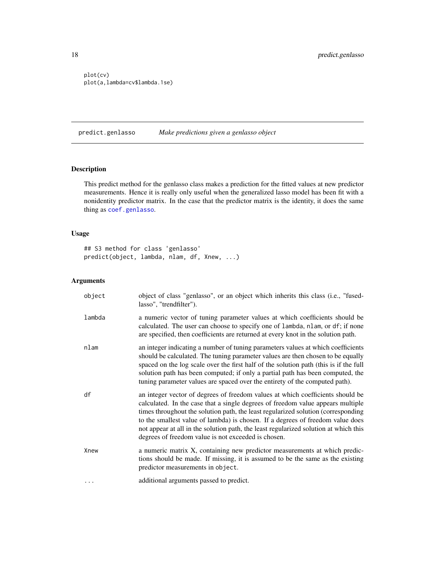```
plot(cv)
plot(a,lambda=cv$lambda.1se)
```
<span id="page-17-1"></span>predict.genlasso *Make predictions given a genlasso object*

## Description

This predict method for the genlasso class makes a prediction for the fitted values at new predictor measurements. Hence it is really only useful when the generalized lasso model has been fit with a nonidentity predictor matrix. In the case that the predictor matrix is the identity, it does the same thing as [coef.genlasso](#page-2-1).

## Usage

## S3 method for class 'genlasso' predict(object, lambda, nlam, df, Xnew, ...)

| object | object of class "genlasso", or an object which inherits this class (i.e., "fused-<br>lasso", "trendfilter").                                                                                                                                                                                                                                                                                                                                                                            |
|--------|-----------------------------------------------------------------------------------------------------------------------------------------------------------------------------------------------------------------------------------------------------------------------------------------------------------------------------------------------------------------------------------------------------------------------------------------------------------------------------------------|
| lambda | a numeric vector of tuning parameter values at which coefficients should be<br>calculated. The user can choose to specify one of lambda, nlam, or df; if none<br>are specified, then coefficients are returned at every knot in the solution path.                                                                                                                                                                                                                                      |
| nlam   | an integer indicating a number of tuning parameters values at which coefficients<br>should be calculated. The tuning parameter values are then chosen to be equally<br>spaced on the log scale over the first half of the solution path (this is if the full<br>solution path has been computed; if only a partial path has been computed, the<br>tuning parameter values are spaced over the entirety of the computed path).                                                           |
| df     | an integer vector of degrees of freedom values at which coefficients should be<br>calculated. In the case that a single degrees of freedom value appears multiple<br>times throughout the solution path, the least regularized solution (corresponding<br>to the smallest value of lambda) is chosen. If a degrees of freedom value does<br>not appear at all in the solution path, the least regularized solution at which this<br>degrees of freedom value is not exceeded is chosen. |
| Xnew   | a numeric matrix X, containing new predictor measurements at which predic-<br>tions should be made. If missing, it is assumed to be the same as the existing<br>predictor measurements in object.                                                                                                                                                                                                                                                                                       |
| .      | additional arguments passed to predict.                                                                                                                                                                                                                                                                                                                                                                                                                                                 |

<span id="page-17-0"></span>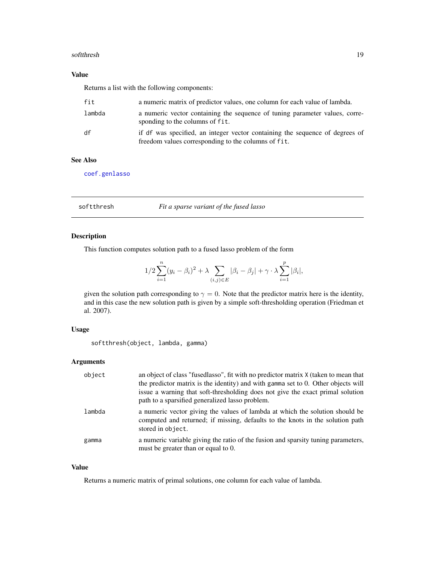#### <span id="page-18-0"></span>softthresh and the state of the state of the state of the state of the state of the state of the state of the state of the state of the state of the state of the state of the state of the state of the state of the state of

## Value

Returns a list with the following components:

| fit    | a numeric matrix of predictor values, one column for each value of lambda.                                                          |
|--------|-------------------------------------------------------------------------------------------------------------------------------------|
| lambda | a numeric vector containing the sequence of tuning parameter values, corre-<br>sponding to the columns of fit.                      |
| df     | if df was specified, an integer vector containing the sequence of degrees of<br>freedom values corresponding to the columns of fit. |

## See Also

[coef.genlasso](#page-2-1)

<span id="page-18-1"></span>softthresh *Fit a sparse variant of the fused lasso*

## Description

This function computes solution path to a fused lasso problem of the form

$$
1/2 \sum_{i=1}^{n} (y_i - \beta_i)^2 + \lambda \sum_{(i,j) \in E} |\beta_i - \beta_j| + \gamma \cdot \lambda \sum_{i=1}^{p} |\beta_i|,
$$

given the solution path corresponding to  $\gamma = 0$ . Note that the predictor matrix here is the identity, and in this case the new solution path is given by a simple soft-thresholding operation (Friedman et al. 2007).

## Usage

softthresh(object, lambda, gamma)

## Arguments

| object | an object of class "fusedlasso", fit with no predictor matrix X (taken to mean that<br>the predictor matrix is the identity) and with gamma set to $0$ . Other objects will<br>issue a warning that soft-thresholding does not give the exact primal solution<br>path to a sparsified generalized lasso problem. |
|--------|------------------------------------------------------------------------------------------------------------------------------------------------------------------------------------------------------------------------------------------------------------------------------------------------------------------|
| lambda | a numeric vector giving the values of lambda at which the solution should be<br>computed and returned; if missing, defaults to the knots in the solution path<br>stored in object.                                                                                                                               |
| gamma  | a numeric variable giving the ratio of the fusion and sparsity tuning parameters,<br>must be greater than or equal to 0.                                                                                                                                                                                         |

## Value

Returns a numeric matrix of primal solutions, one column for each value of lambda.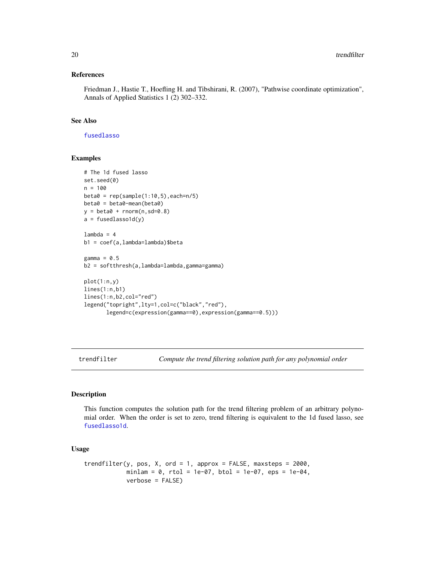## References

Friedman J., Hastie T., Hoefling H. and Tibshirani, R. (2007), "Pathwise coordinate optimization", Annals of Applied Statistics 1 (2) 302–332.

## See Also

[fusedlasso](#page-6-1)

## Examples

```
# The 1d fused lasso
set.seed(0)
n = 100
beta = rep(sample(1:10,5), each=n/5)beta0 = beta0-mean(beta0)
y = \text{beta} + \text{rnorm}(n, \text{sd}=0.8)a = fusedlassold(y)lambda = 4b1 = coef(a,lambda=lambda)$beta
gamma = 0.5b2 = softthresh(a,lambda=lambda,gamma=gamma)
plot(1:n,y)
lines(1:n,b1)
lines(1:n,b2,col="red")
legend("topright",lty=1,col=c("black","red"),
       legend=c(expression(gamma==0),expression(gamma==0.5)))
```
<span id="page-19-1"></span>trendfilter *Compute the trend filtering solution path for any polynomial order*

## Description

This function computes the solution path for the trend filtering problem of an arbitrary polynomial order. When the order is set to zero, trend filtering is equivalent to the 1d fused lasso, see [fusedlasso1d](#page-6-2).

### Usage

```
trendfilter(y, pos, X, ord = 1, approx = FALSE, maxsteps = 2000,
            minlam = 0, rtol = 1e-07, btol = 1e-07, eps = 1e-04,
            verbose = FALSE)
```
<span id="page-19-0"></span>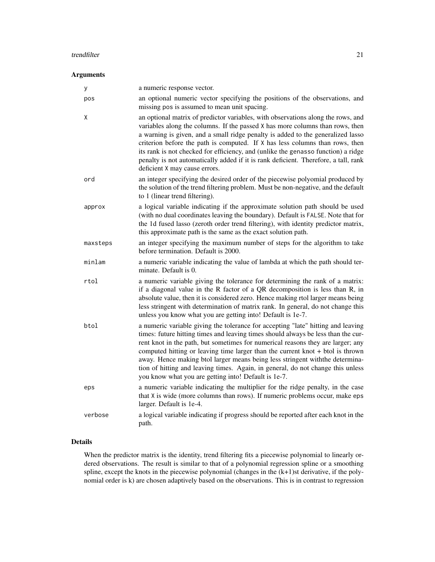#### trendfilter 21

## Arguments

| У        | a numeric response vector.                                                                                                                                                                                                                                                                                                                                                                                                                                                                                                                                               |
|----------|--------------------------------------------------------------------------------------------------------------------------------------------------------------------------------------------------------------------------------------------------------------------------------------------------------------------------------------------------------------------------------------------------------------------------------------------------------------------------------------------------------------------------------------------------------------------------|
| pos      | an optional numeric vector specifying the positions of the observations, and<br>missing pos is assumed to mean unit spacing.                                                                                                                                                                                                                                                                                                                                                                                                                                             |
| Χ        | an optional matrix of predictor variables, with observations along the rows, and<br>variables along the columns. If the passed X has more columns than rows, then<br>a warning is given, and a small ridge penalty is added to the generalized lasso<br>criterion before the path is computed. If X has less columns than rows, then<br>its rank is not checked for efficiency, and (unlike the genasso function) a ridge<br>penalty is not automatically added if it is rank deficient. Therefore, a tall, rank<br>deficient X may cause errors.                        |
| ord      | an integer specifying the desired order of the piecewise polyomial produced by<br>the solution of the trend filtering problem. Must be non-negative, and the default<br>to 1 (linear trend filtering).                                                                                                                                                                                                                                                                                                                                                                   |
| approx   | a logical variable indicating if the approximate solution path should be used<br>(with no dual coordinates leaving the boundary). Default is FALSE. Note that for<br>the 1d fused lasso (zeroth order trend filtering), with identity predictor matrix,<br>this approximate path is the same as the exact solution path.                                                                                                                                                                                                                                                 |
| maxsteps | an integer specifying the maximum number of steps for the algorithm to take<br>before termination. Default is 2000.                                                                                                                                                                                                                                                                                                                                                                                                                                                      |
| minlam   | a numeric variable indicating the value of lambda at which the path should ter-<br>minate. Default is 0.                                                                                                                                                                                                                                                                                                                                                                                                                                                                 |
| rtol     | a numeric variable giving the tolerance for determining the rank of a matrix:<br>if a diagonal value in the R factor of a QR decomposition is less than R, in<br>absolute value, then it is considered zero. Hence making rtol larger means being<br>less stringent with determination of matrix rank. In general, do not change this<br>unless you know what you are getting into! Default is 1e-7.                                                                                                                                                                     |
| btol     | a numeric variable giving the tolerance for accepting "late" hitting and leaving<br>times: future hitting times and leaving times should always be less than the cur-<br>rent knot in the path, but sometimes for numerical reasons they are larger; any<br>computed hitting or leaving time larger than the current knot $+$ btol is thrown<br>away. Hence making btol larger means being less stringent with the determina-<br>tion of hitting and leaving times. Again, in general, do not change this unless<br>you know what you are getting into! Default is 1e-7. |
| eps      | a numeric variable indicating the multiplier for the ridge penalty, in the case<br>that X is wide (more columns than rows). If numeric problems occur, make eps<br>larger. Default is 1e-4.                                                                                                                                                                                                                                                                                                                                                                              |
| verbose  | a logical variable indicating if progress should be reported after each knot in the<br>path.                                                                                                                                                                                                                                                                                                                                                                                                                                                                             |

## Details

When the predictor matrix is the identity, trend filtering fits a piecewise polynomial to linearly ordered observations. The result is similar to that of a polynomial regression spline or a smoothing spline, except the knots in the piecewise polynomial (changes in the (k+1)st derivative, if the polynomial order is k) are chosen adaptively based on the observations. This is in contrast to regression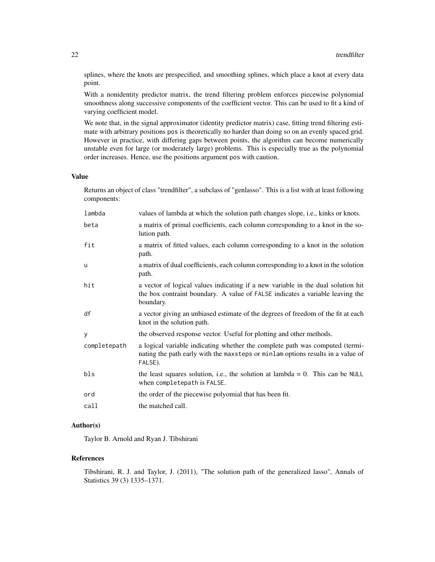splines, where the knots are prespecified, and smoothing splines, which place a knot at every data point.

With a nonidentity predictor matrix, the trend filtering problem enforces piecewise polynomial smoothness along successive components of the coefficient vector. This can be used to fit a kind of varying coefficient model.

We note that, in the signal approximator (identity predictor matrix) case, fitting trend filtering estimate with arbitrary positions pos is theoretically no harder than doing so on an evenly spaced grid. However in practice, with differing gaps between points, the algorithm can become numerically unstable even for large (or moderately large) problems. This is especially true as the polynomial order increases. Hence, use the positions argument pos with caution.

## Value

Returns an object of class "trendfilter", a subclass of "genlasso". This is a list with at least following components:

| lambda       | values of lambda at which the solution path changes slope, i.e., kinks or knots.                                                                                               |
|--------------|--------------------------------------------------------------------------------------------------------------------------------------------------------------------------------|
| beta         | a matrix of primal coefficients, each column corresponding to a knot in the so-<br>lution path.                                                                                |
| fit          | a matrix of fitted values, each column corresponding to a knot in the solution<br>path.                                                                                        |
| u            | a matrix of dual coefficients, each column corresponding to a knot in the solution<br>path.                                                                                    |
| hit          | a vector of logical values indicating if a new variable in the dual solution hit<br>the box contraint boundary. A value of FALSE indicates a variable leaving the<br>boundary. |
| df           | a vector giving an unbiased estimate of the degrees of freedom of the fit at each<br>knot in the solution path.                                                                |
| y            | the observed response vector. Useful for plotting and other methods.                                                                                                           |
| completepath | a logical variable indicating whether the complete path was computed (termi-<br>nating the path early with the maxsteps or minlam options results in a value of<br>FALSE).     |
| bls          | the least squares solution, i.e., the solution at lambda = 0. This can be NULL<br>when completepath is FALSE.                                                                  |
| ord          | the order of the piecewise polyomial that has been fit.                                                                                                                        |
| call         | the matched call.                                                                                                                                                              |

## Author(s)

Taylor B. Arnold and Ryan J. Tibshirani

## References

Tibshirani, R. J. and Taylor, J. (2011), "The solution path of the generalized lasso", Annals of Statistics 39 (3) 1335–1371.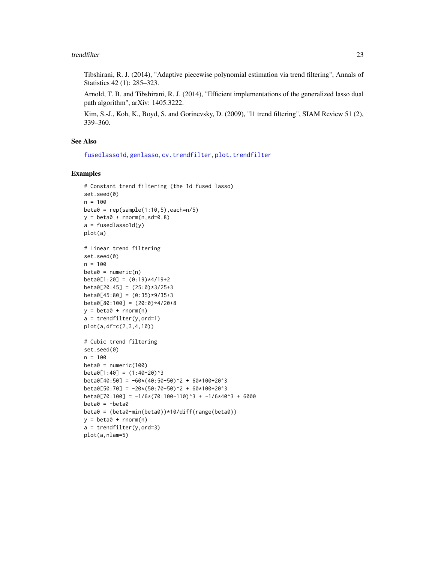#### <span id="page-22-0"></span>trendfilter 23

Tibshirani, R. J. (2014), "Adaptive piecewise polynomial estimation via trend filtering", Annals of Statistics 42 (1): 285–323.

Arnold, T. B. and Tibshirani, R. J. (2014), "Efficient implementations of the generalized lasso dual path algorithm", arXiv: 1405.3222.

Kim, S.-J., Koh, K., Boyd, S. and Gorinevsky, D. (2009), "l1 trend filtering", SIAM Review 51 (2), 339–360.

## See Also

[fusedlasso1d](#page-6-2), [genlasso](#page-10-1), [cv.trendfilter](#page-3-1), [plot.trendfilter](#page-15-2)

## Examples

```
# Constant trend filtering (the 1d fused lasso)
set.seed(0)
n = 100
beta = rep(sample(1:10,5), each=n/5)y = \text{beta} + \text{rnorm}(n, \text{sd}=0.8)a = fusedlassold(y)plot(a)
# Linear trend filtering
set.seed(0)
n = 100
beta = numeric(n)beta[1:20] = (0:19)*4/19+2beta[20:45] = (25:0)*3/25+3beta[45:80] = (0:35)*9/35+3beta[80:100] = (20:0)*4/20+8y = \text{beta} + \text{rnorm}(n)a = trendfilter(y, ord=1)plot(a,df=c(2,3,4,10))
# Cubic trend filtering
set.seed(0)
n = 100beta = numeric(100)beta[1:40] = (1:40-20)^3beta[40:50] = -60*(40:50-50)^2 + 60*100+20^3beta[50:70] = -20*(50:70-50)^2 + 60*100+20^3beta[70:100] = -1/6*(70:100-110)^3 + -1/6*40^3 + 6000beta = -beta0beta0 = (beta0-min(beta0))*10/diff(range(beta0))
y = beta0 + rnorm(n)a = trendfilter(y, ord=3)plot(a,nlam=5)
```